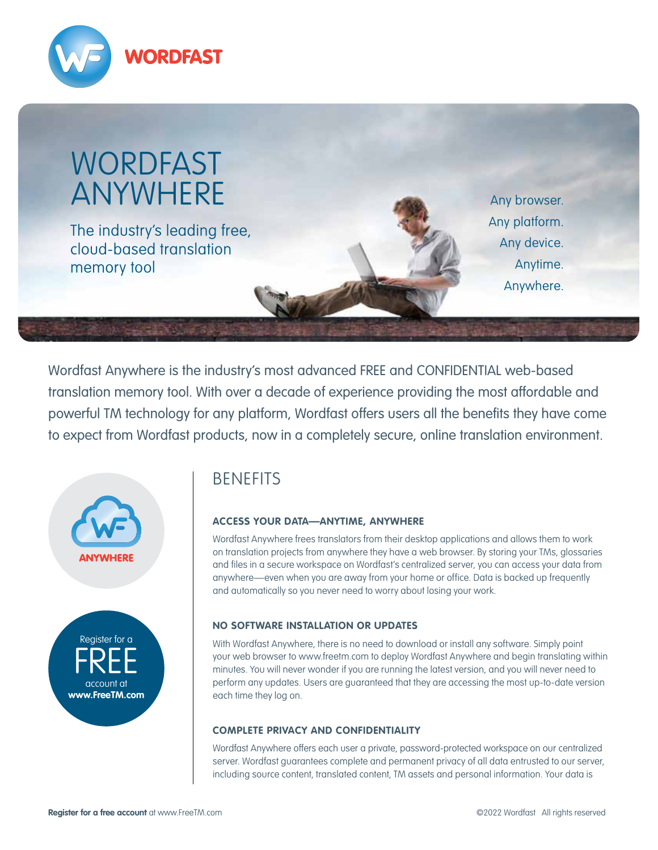



Wordfast Anywhere is the industry's most advanced FREE and CONFIDENTIAL web-based translation memory tool. With over a decade of experience providing the most affordable and powerful TM technology for any platform, Wordfast offers users all the benefits they have come to expect from Wordfast products, now in a completely secure, online translation environment.





# **BENEFITS**

# **ACCESS YOUR DATA—ANYTIME, ANYWHERE**

Wordfast Anywhere frees translators from their desktop applications and allows them to work on translation projects from anywhere they have a web browser. By storing your TMs, glossaries and files in a secure workspace on Wordfast's centralized server, you can access your data from anywhere—even when you are away from your home or office. Data is backed up frequently and automatically so you never need to worry about losing your work.

# **NO SOFTWARE INSTALLATION OR UPDATES**

With Wordfast Anywhere, there is no need to download or install any software. Simply point your web browser to www.freetm.com to deploy Wordfast Anywhere and begin translating within minutes. You will never wonder if you are running the latest version, and you will never need to perform any updates. Users are guaranteed that they are accessing the most up-to-date version each time they log on.

# **COMPLETE PRIVACY AND CONFIDENTIALITY**

Wordfast Anywhere offers each user a private, password-protected workspace on our centralized server. Wordfast guarantees complete and permanent privacy of all data entrusted to our server, including source content, translated content, TM assets and personal information. Your data is